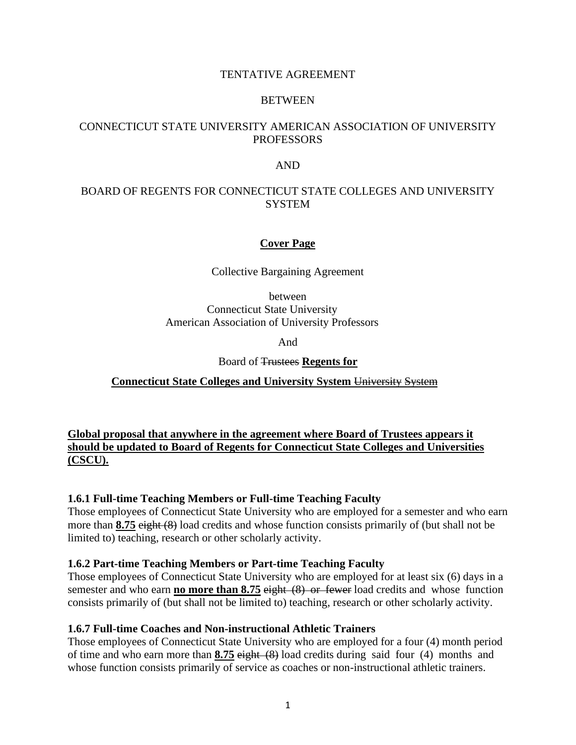### TENTATIVE AGREEMENT

#### BETWEEN

### CONNECTICUT STATE UNIVERSITY AMERICAN ASSOCIATION OF UNIVERSITY **PROFESSORS**

#### AND

### BOARD OF REGENTS FOR CONNECTICUT STATE COLLEGES AND UNIVERSITY **SYSTEM**

### **Cover Page**

Collective Bargaining Agreement

between Connecticut State University American Association of University Professors

And

Board of Trustees **Regents for** 

**Connecticut State Colleges and University System** University System

**Global proposal that anywhere in the agreement where Board of Trustees appears it should be updated to Board of Regents for Connecticut State Colleges and Universities (CSCU).**

### **1.6.1 Full-time Teaching Members or Full-time Teaching Faculty**

Those employees of Connecticut State University who are employed for a semester and who earn more than **8.75** eight (8) load credits and whose function consists primarily of (but shall not be limited to) teaching, research or other scholarly activity.

### **1.6.2 Part-time Teaching Members or Part-time Teaching Faculty**

Those employees of Connecticut State University who are employed for at least six (6) days in a semester and who earn **no more than 8.75** eight (8) or fewer load credits and whose function consists primarily of (but shall not be limited to) teaching, research or other scholarly activity.

### **1.6.7 Full-time Coaches and Non-instructional Athletic Trainers**

Those employees of Connecticut State University who are employed for a four (4) month period of time and who earn more than **8.75** eight (8) load credits during said four (4) months and whose function consists primarily of service as coaches or non-instructional athletic trainers.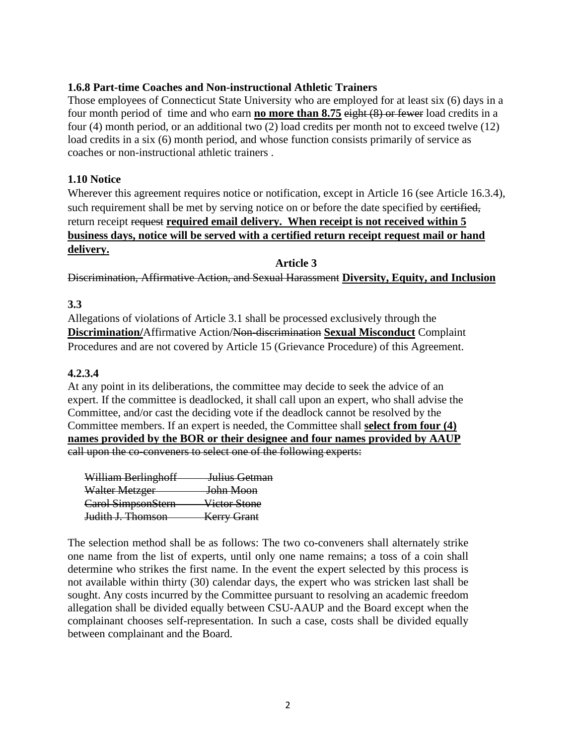### **1.6.8 Part-time Coaches and Non-instructional Athletic Trainers**

Those employees of Connecticut State University who are employed for at least six (6) days in a four month period of time and who earn **no more than 8.75** eight (8) or fewer load credits in a four (4) month period, or an additional two (2) load credits per month not to exceed twelve (12) load credits in a six (6) month period, and whose function consists primarily of service as coaches or non-instructional athletic trainers .

### **1.10 Notice**

Wherever this agreement requires notice or notification, except in Article 16 (see Article 16.3.4), such requirement shall be met by serving notice on or before the date specified by certified, return receipt request **required email delivery. When receipt is not received within 5 business days, notice will be served with a certified return receipt request mail or hand delivery.**

**Article 3**

Discrimination, Affirmative Action, and Sexual Harassment **Diversity, Equity, and Inclusion**

**3.3** 

Allegations of violations of Article 3.1 shall be processed exclusively through the **Discrimination/**Affirmative Action/Non-discrimination **Sexual Misconduct** Complaint Procedures and are not covered by Article 15 (Grievance Procedure) of this Agreement.

### **4.2.3.4**

At any point in its deliberations, the committee may decide to seek the advice of an expert. If the committee is deadlocked, it shall call upon an expert, who shall advise the Committee, and/or cast the deciding vote if the deadlock cannot be resolved by the Committee members. If an expert is needed, the Committee shall **select from four (4) names provided by the BOR or their designee and four names provided by AAUP** call upon the co-conveners to select one of the following experts:

| William Berlinghoff          | <del>Julius Getman</del> |
|------------------------------|--------------------------|
| Walter Metzger               | <del>John Moon</del>     |
| Carol SimpsonStern           | Victor Stone             |
| <del>Judith J. Thomson</del> | <b>Kerry Grant</b>       |

The selection method shall be as follows: The two co-conveners shall alternately strike one name from the list of experts, until only one name remains; a toss of a coin shall determine who strikes the first name. In the event the expert selected by this process is not available within thirty (30) calendar days, the expert who was stricken last shall be sought. Any costs incurred by the Committee pursuant to resolving an academic freedom allegation shall be divided equally between CSU-AAUP and the Board except when the complainant chooses self-representation. In such a case, costs shall be divided equally between complainant and the Board.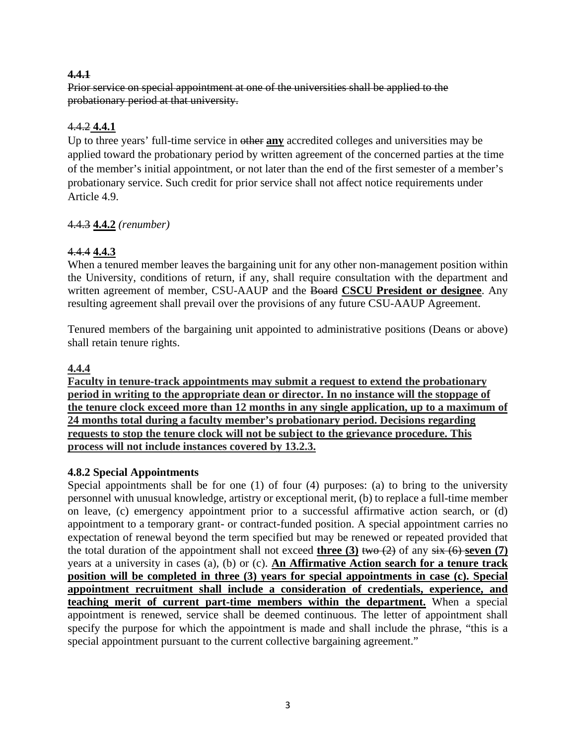### **4.4.1**

Prior service on special appointment at one of the universities shall be applied to the probationary period at that university.

### 4.4.2 **4.4.1**

Up to three years' full-time service in other **any** accredited colleges and universities may be applied toward the probationary period by written agreement of the concerned parties at the time of the member's initial appointment, or not later than the end of the first semester of a member's probationary service. Such credit for prior service shall not affect notice requirements under Article 4.9.

# 4.4.3 **4.4.2** *(renumber)*

# 4.4.4 **4.4.3**

When a tenured member leaves the bargaining unit for any other non-management position within the University, conditions of return, if any, shall require consultation with the department and written agreement of member, CSU-AAUP and the Board **CSCU President or designee**. Any resulting agreement shall prevail over the provisions of any future CSU-AAUP Agreement.

Tenured members of the bargaining unit appointed to administrative positions (Deans or above) shall retain tenure rights.

### **4.4.4**

**Faculty in tenure-track appointments may submit a request to extend the probationary period in writing to the appropriate dean or director. In no instance will the stoppage of the tenure clock exceed more than 12 months in any single application, up to a maximum of 24 months total during a faculty member's probationary period. Decisions regarding requests to stop the tenure clock will not be subject to the grievance procedure. This process will not include instances covered by 13.2.3.** 

### **4.8.2 Special Appointments**

Special appointments shall be for one (1) of four (4) purposes: (a) to bring to the university personnel with unusual knowledge, artistry or exceptional merit, (b) to replace a full-time member on leave, (c) emergency appointment prior to a successful affirmative action search, or (d) appointment to a temporary grant- or contract-funded position. A special appointment carries no expectation of renewal beyond the term specified but may be renewed or repeated provided that the total duration of the appointment shall not exceed **three (3)** two  $(2)$  of any  $\frac{\sin (6)}{\sin (6)}$  **seven (7)** years at a university in cases (a), (b) or (c). **An Affirmative Action search for a tenure track position will be completed in three (3) years for special appointments in case (c). Special appointment recruitment shall include a consideration of credentials, experience, and teaching merit of current part-time members within the department.** When a special appointment is renewed, service shall be deemed continuous. The letter of appointment shall specify the purpose for which the appointment is made and shall include the phrase, "this is a special appointment pursuant to the current collective bargaining agreement."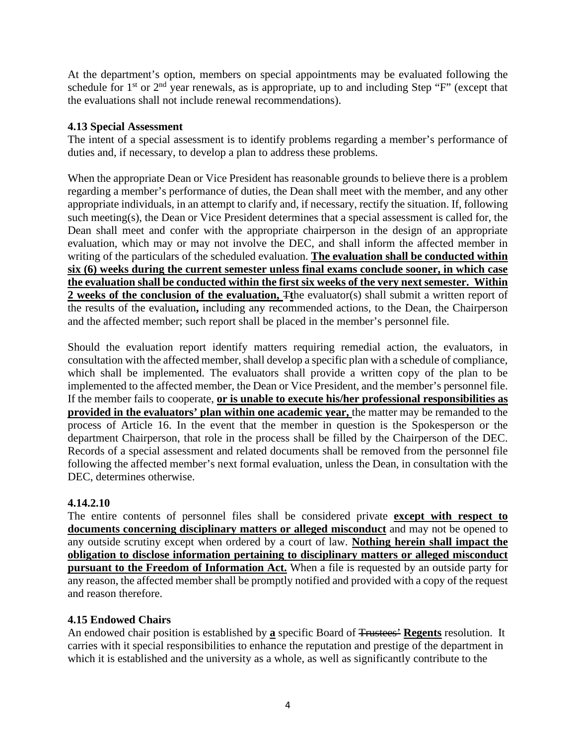At the department's option, members on special appointments may be evaluated following the schedule for  $1<sup>st</sup>$  or  $2<sup>nd</sup>$  year renewals, as is appropriate, up to and including Step "F" (except that the evaluations shall not include renewal recommendations).

### **4.13 Special Assessment**

The intent of a special assessment is to identify problems regarding a member's performance of duties and, if necessary, to develop a plan to address these problems.

When the appropriate Dean or Vice President has reasonable grounds to believe there is a problem regarding a member's performance of duties, the Dean shall meet with the member, and any other appropriate individuals, in an attempt to clarify and, if necessary, rectify the situation. If, following such meeting(s), the Dean or Vice President determines that a special assessment is called for, the Dean shall meet and confer with the appropriate chairperson in the design of an appropriate evaluation, which may or may not involve the DEC, and shall inform the affected member in writing of the particulars of the scheduled evaluation. **The evaluation shall be conducted within six (6) weeks during the current semester unless final exams conclude sooner, in which case the evaluation shall be conducted within the first six weeks of the very next semester. Within 2 weeks of the conclusion of the evaluation,**  $\pi$ **the evaluator(s) shall submit a written report of** the results of the evaluation**,** including any recommended actions, to the Dean, the Chairperson and the affected member; such report shall be placed in the member's personnel file.

Should the evaluation report identify matters requiring remedial action, the evaluators, in consultation with the affected member, shall develop a specific plan with a schedule of compliance, which shall be implemented. The evaluators shall provide a written copy of the plan to be implemented to the affected member, the Dean or Vice President, and the member's personnel file. If the member fails to cooperate, **or is unable to execute his/her professional responsibilities as provided in the evaluators' plan within one academic year,** the matter may be remanded to the process of Article 16. In the event that the member in question is the Spokesperson or the department Chairperson, that role in the process shall be filled by the Chairperson of the DEC. Records of a special assessment and related documents shall be removed from the personnel file following the affected member's next formal evaluation, unless the Dean, in consultation with the DEC, determines otherwise.

### **4.14.2.10**

The entire contents of personnel files shall be considered private **except with respect to documents concerning disciplinary matters or alleged misconduct** and may not be opened to any outside scrutiny except when ordered by a court of law. **Nothing herein shall impact the obligation to disclose information pertaining to disciplinary matters or alleged misconduct pursuant to the Freedom of Information Act.** When a file is requested by an outside party for any reason, the affected member shall be promptly notified and provided with a copy of the request and reason therefore.

### **4.15 Endowed Chairs**

An endowed chair position is established by **a** specific Board of Trustees' **Regents** resolution. It carries with it special responsibilities to enhance the reputation and prestige of the department in which it is established and the university as a whole, as well as significantly contribute to the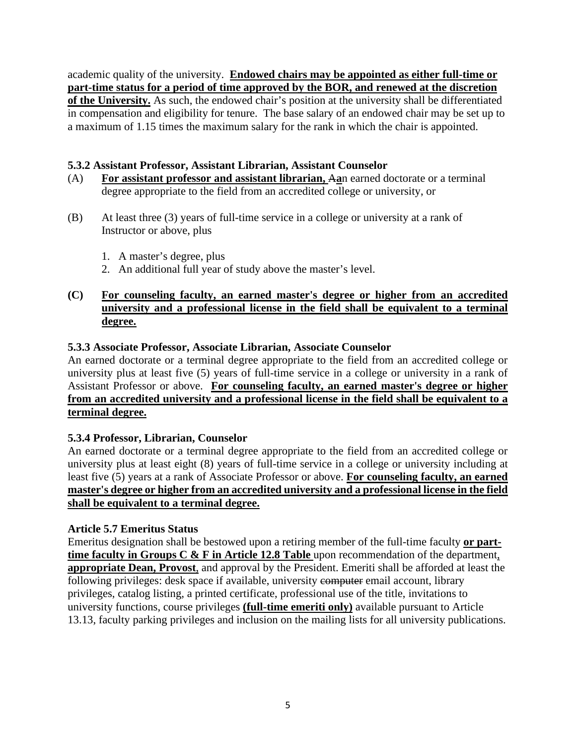academic quality of the university. **Endowed chairs may be appointed as either full-time or part-time status for a period of time approved by the BOR, and renewed at the discretion of the University.** As such, the endowed chair's position at the university shall be differentiated in compensation and eligibility for tenure. The base salary of an endowed chair may be set up to a maximum of 1.15 times the maximum salary for the rank in which the chair is appointed.

### **5.3.2 Assistant Professor, Assistant Librarian, Assistant Counselor**

- (A) **For assistant professor and assistant librarian,** A**a**n earned doctorate or a terminal degree appropriate to the field from an accredited college or university, or
- (B) At least three (3) years of full-time service in a college or university at a rank of Instructor or above, plus
	- 1. A master's degree, plus
	- 2. An additional full year of study above the master's level.

### **(C) For counseling faculty, an earned master's degree or higher from an accredited university and a professional license in the field shall be equivalent to a terminal degree.**

### **5.3.3 Associate Professor, Associate Librarian, Associate Counselor**

An earned doctorate or a terminal degree appropriate to the field from an accredited college or university plus at least five (5) years of full-time service in a college or university in a rank of Assistant Professor or above. **For counseling faculty, an earned master's degree or higher from an accredited university and a professional license in the field shall be equivalent to a terminal degree.**

### **5.3.4 Professor, Librarian, Counselor**

An earned doctorate or a terminal degree appropriate to the field from an accredited college or university plus at least eight (8) years of full-time service in a college or university including at least five (5) years at a rank of Associate Professor or above. **For counseling faculty, an earned master's degree or higher from an accredited university and a professional license in the field shall be equivalent to a terminal degree.**

### **Article 5.7 Emeritus Status**

Emeritus designation shall be bestowed upon a retiring member of the full-time faculty **or parttime faculty in Groups C & F in Article 12.8 Table** upon recommendation of the department, **appropriate Dean, Provost**, and approval by the President. Emeriti shall be afforded at least the following privileges: desk space if available, university computer email account, library privileges, catalog listing, a printed certificate, professional use of the title, invitations to university functions, course privileges **(full-time emeriti only)** available pursuant to Article 13.13, faculty parking privileges and inclusion on the mailing lists for all university publications.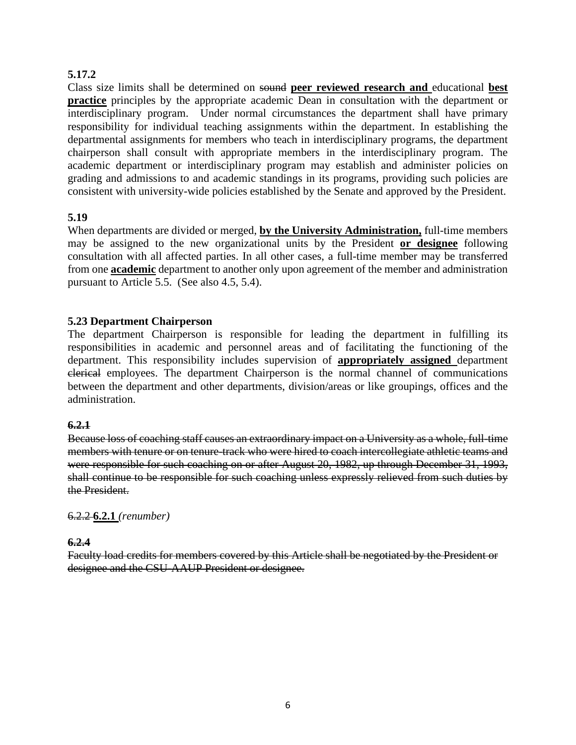### **5.17.2**

Class size limits shall be determined on sound **peer reviewed research and** educational **best practice** principles by the appropriate academic Dean in consultation with the department or interdisciplinary program. Under normal circumstances the department shall have primary responsibility for individual teaching assignments within the department. In establishing the departmental assignments for members who teach in interdisciplinary programs, the department chairperson shall consult with appropriate members in the interdisciplinary program. The academic department or interdisciplinary program may establish and administer policies on grading and admissions to and academic standings in its programs, providing such policies are consistent with university-wide policies established by the Senate and approved by the President.

### **5.19**

When departments are divided or merged, **by the University Administration,** full-time members may be assigned to the new organizational units by the President **or designee** following consultation with all affected parties. In all other cases, a full-time member may be transferred from one **academic** department to another only upon agreement of the member and administration pursuant to Article 5.5. (See also 4.5, 5.4).

### **5.23 Department Chairperson**

The department Chairperson is responsible for leading the department in fulfilling its responsibilities in academic and personnel areas and of facilitating the functioning of the department. This responsibility includes supervision of **appropriately assigned** department clerical employees. The department Chairperson is the normal channel of communications between the department and other departments, division/areas or like groupings, offices and the administration.

### **6.2.1**

Because loss of coaching staff causes an extraordinary impact on a University as a whole, full-time members with tenure or on tenure-track who were hired to coach intercollegiate athletic teams and were responsible for such coaching on or after August 20, 1982, up through December 31, 1993, shall continue to be responsible for such coaching unless expressly relieved from such duties by the President.

### 6.2.2 **6.2.1** *(renumber)*

### **6.2.4**

Faculty load credits for members covered by this Article shall be negotiated by the President or designee and the CSU-AAUP President or designee.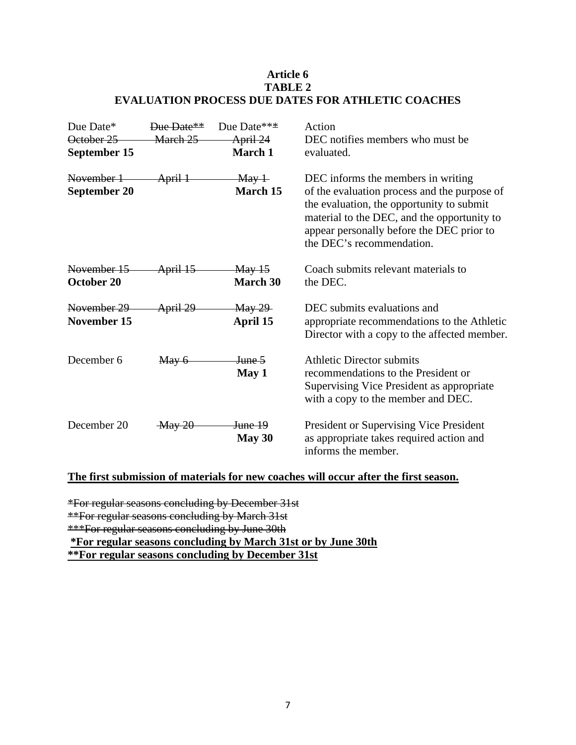### **Article 6 TABLE 2 EVALUATION PROCESS DUE DATES FOR ATHLETIC COACHES**

| Due Date*                         | Due Date**          | Due Date***                                              | Action                                                                                                                                                                                                                                                   |
|-----------------------------------|---------------------|----------------------------------------------------------|----------------------------------------------------------------------------------------------------------------------------------------------------------------------------------------------------------------------------------------------------------|
| October 25                        | March 25            | April 24                                                 | DEC notifies members who must be                                                                                                                                                                                                                         |
| September 15                      |                     | March 1                                                  | evaluated.                                                                                                                                                                                                                                               |
| November 1<br><b>September 20</b> | April 1             | May 1<br>March 15                                        | DEC informs the members in writing<br>of the evaluation process and the purpose of<br>the evaluation, the opportunity to submit<br>material to the DEC, and the opportunity to<br>appear personally before the DEC prior to<br>the DEC's recommendation. |
| November 15<br>October 20         | <del>April 15</del> | $\frac{\text{May }15}{\text{May }15}$<br><b>March 30</b> | Coach submits relevant materials to<br>the DEC.                                                                                                                                                                                                          |
| November 29<br>November 15        | April 29            | <b>May 29</b><br>April 15                                | DEC submits evaluations and<br>appropriate recommendations to the Athletic<br>Director with a copy to the affected member.                                                                                                                               |
| December 6                        | May 6               | <del>June 5</del><br>May 1                               | <b>Athletic Director submits</b><br>recommendations to the President or<br>Supervising Vice President as appropriate<br>with a copy to the member and DEC.                                                                                               |
| December 20                       | $\frac{May 20}{ }$  | <del>June 19</del><br>May 30                             | President or Supervising Vice President<br>as appropriate takes required action and<br>informs the member.                                                                                                                                               |

### **The first submission of materials for new coaches will occur after the first season.**

\*For regular seasons concluding by December 31st

\*\*For regular seasons concluding by March 31st

\*\*\*For regular seasons concluding by June 30th

**\*For regular seasons concluding by March 31st or by June 30th** 

**\*\*For regular seasons concluding by December 31st**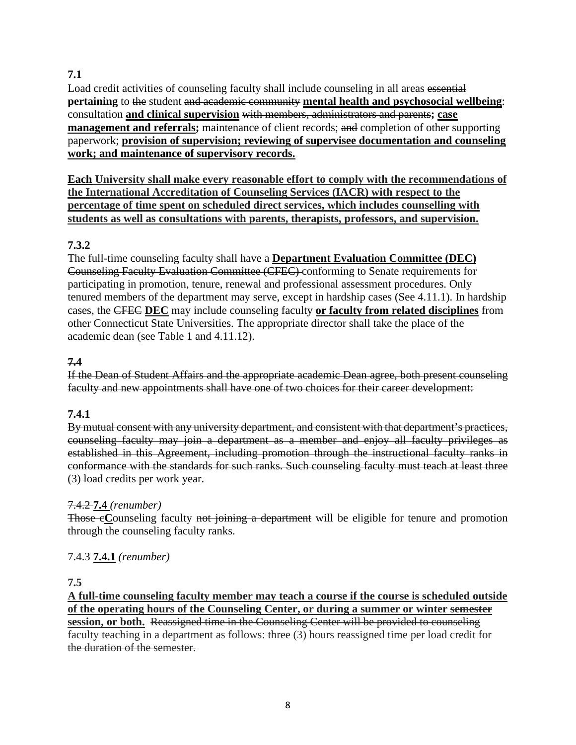# **7.1**

Load credit activities of counseling faculty shall include counseling in all areas essential **pertaining** to the student and academic community **mental health and psychosocial wellbeing**: consultation **and clinical supervision** with members, administrators and parents**; case management and referrals;** maintenance of client records; and completion of other supporting paperwork; **provision of supervision; reviewing of supervisee documentation and counseling work; and maintenance of supervisory records.**

**Each University shall make every reasonable effort to comply with the recommendations of the International Accreditation of Counseling Services (IACR) with respect to the percentage of time spent on scheduled direct services, which includes counselling with students as well as consultations with parents, therapists, professors, and supervision.** 

# **7.3.2**

The full-time counseling faculty shall have a **Department Evaluation Committee (DEC)** Counseling Faculty Evaluation Committee (CFEC) conforming to Senate requirements for participating in promotion, tenure, renewal and professional assessment procedures. Only tenured members of the department may serve, except in hardship cases (See 4.11.1). In hardship cases, the CFEC **DEC** may include counseling faculty **or faculty from related disciplines** from other Connecticut State Universities. The appropriate director shall take the place of the academic dean (see Table 1 and 4.11.12).

# **7.4**

If the Dean of Student Affairs and the appropriate academic Dean agree, both present counseling faculty and new appointments shall have one of two choices for their career development:

### **7.4.1**

By mutual consent with any university department, and consistent with that department's practices, counseling faculty may join a department as a member and enjoy all faculty privileges as established in this Agreement, including promotion through the instructional faculty ranks in conformance with the standards for such ranks. Such counseling faculty must teach at least three (3) load credits per work year.

### 7.4.2 **7.4** *(renumber)*

Those eCounseling faculty not joining a department will be eligible for tenure and promotion through the counseling faculty ranks.

### 7.4.3 **7.4.1** *(renumber)*

### **7.5**

**A full-time counseling faculty member may teach a course if the course is scheduled outside of the operating hours of the Counseling Center, or during a summer or winter semester session, or both.** Reassigned time in the Counseling Center will be provided to counseling faculty teaching in a department as follows: three (3) hours reassigned time per load credit for the duration of the semester.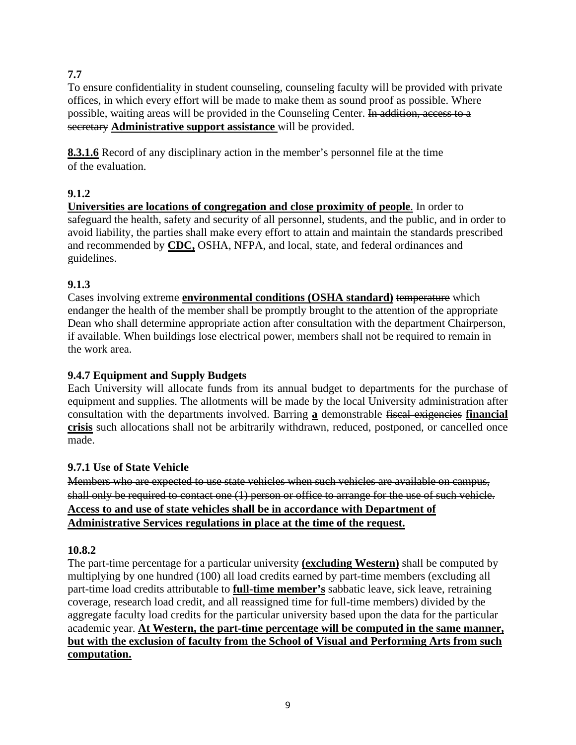# **7.7**

To ensure confidentiality in student counseling, counseling faculty will be provided with private offices, in which every effort will be made to make them as sound proof as possible. Where possible, waiting areas will be provided in the Counseling Center. In addition, access to a secretary **Administrative support assistance** will be provided.

**8.3.1.6** Record of any disciplinary action in the member's personnel file at the time of the evaluation.

# **9.1.2**

**Universities are locations of congregation and close proximity of people**. In order to safeguard the health, safety and security of all personnel, students, and the public, and in order to avoid liability, the parties shall make every effort to attain and maintain the standards prescribed and recommended by **CDC,** OSHA, NFPA, and local, state, and federal ordinances and guidelines.

# **9.1.3**

Cases involving extreme **environmental conditions (OSHA standard)** temperature which endanger the health of the member shall be promptly brought to the attention of the appropriate Dean who shall determine appropriate action after consultation with the department Chairperson, if available. When buildings lose electrical power, members shall not be required to remain in the work area.

# **9.4.7 Equipment and Supply Budgets**

Each University will allocate funds from its annual budget to departments for the purchase of equipment and supplies. The allotments will be made by the local University administration after consultation with the departments involved. Barring **a** demonstrable fiscal exigencies **financial crisis** such allocations shall not be arbitrarily withdrawn, reduced, postponed, or cancelled once made.

# **9.7.1 Use of State Vehicle**

Members who are expected to use state vehicles when such vehicles are available on campus, shall only be required to contact one (1) person or office to arrange for the use of such vehicle. **Access to and use of state vehicles shall be in accordance with Department of Administrative Services regulations in place at the time of the request.** 

# **10.8.2**

The part-time percentage for a particular university **(excluding Western)** shall be computed by multiplying by one hundred (100) all load credits earned by part-time members (excluding all part-time load credits attributable to **full-time member's** sabbatic leave, sick leave, retraining coverage, research load credit, and all reassigned time for full-time members) divided by the aggregate faculty load credits for the particular university based upon the data for the particular academic year. **At Western, the part-time percentage will be computed in the same manner, but with the exclusion of faculty from the School of Visual and Performing Arts from such computation.**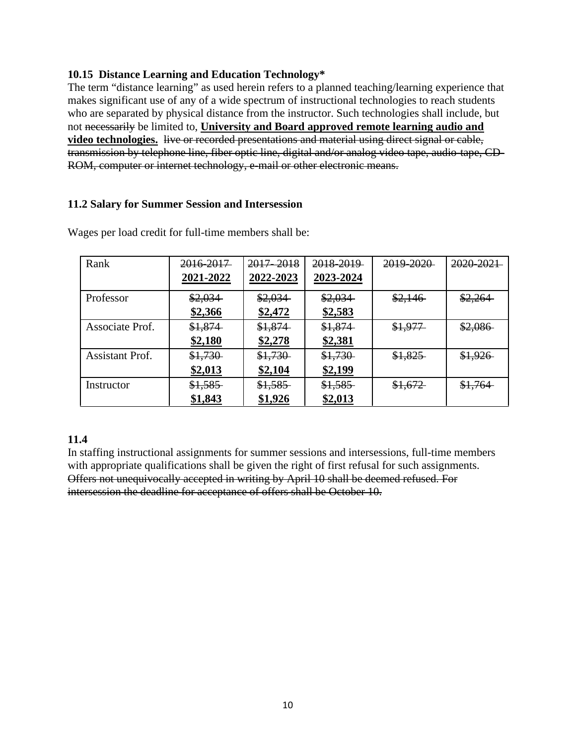### **10.15 Distance Learning and Education Technology\***

The term "distance learning" as used herein refers to a planned teaching/learning experience that makes significant use of any of a wide spectrum of instructional technologies to reach students who are separated by physical distance from the instructor. Such technologies shall include, but not necessarily be limited to, **University and Board approved remote learning audio and video technologies.** live or recorded presentations and material using direct signal or cable, transmission by telephone line, fiber optic line, digital and/or analog video tape, audio-tape, CD-ROM, computer or internet technology, e-mail or other electronic means.

### **11.2 Salary for Summer Session and Intersession**

| Rank                   | 2016-2017- | 2017-2018 | 2018-2019 | 2019-2020 | 2020-2021 |
|------------------------|------------|-----------|-----------|-----------|-----------|
|                        | 2021-2022  | 2022-2023 | 2023-2024 |           |           |
| Professor              | \$2,034    | \$2,034   | \$2,034   | \$2,146   | \$2,264   |
|                        | \$2,366    | \$2,472   | \$2,583   |           |           |
| Associate Prof.        | \$1,874    | \$1,874   | \$1,874   | \$1,977   | \$2,086   |
|                        | \$2,180    | \$2,278   | \$2,381   |           |           |
| <b>Assistant Prof.</b> | \$1,730    | \$1,730   | \$1,730   | \$1,825   | \$1,926   |
|                        | \$2,013    | \$2,104   | \$2,199   |           |           |
| Instructor             | \$1,585    | \$1,585   | \$1,585   | \$1,672   | \$1,764   |
|                        | \$1,843    | \$1,926   | \$2,013   |           |           |

Wages per load credit for full-time members shall be:

### **11.4**

In staffing instructional assignments for summer sessions and intersessions, full-time members with appropriate qualifications shall be given the right of first refusal for such assignments. Offers not unequivocally accepted in writing by April 10 shall be deemed refused. For intersession the deadline for acceptance of offers shall be October 10.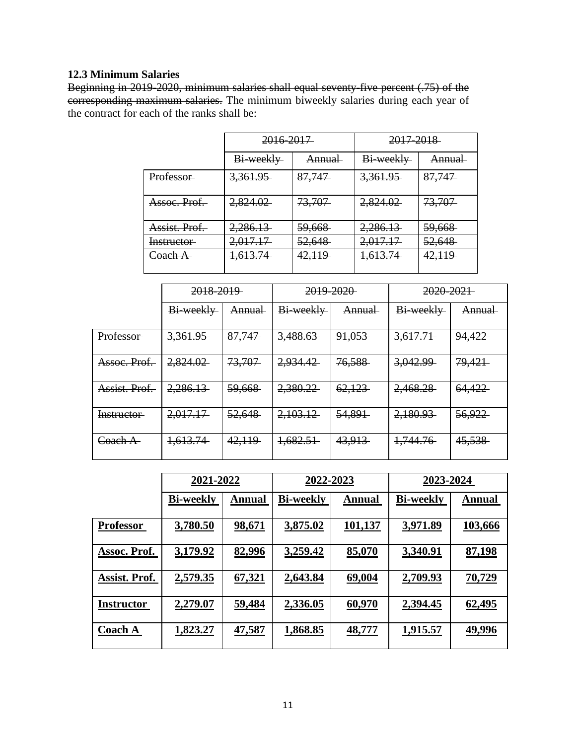# **12.3 Minimum Salaries**

Beginning in 2019-2020, minimum salaries shall equal seventy-five percent (.75) of the corresponding maximum salaries. The minimum biweekly salaries during each year of the contract for each of the ranks shall be:

|                     | 2016-2017 |                   | 2017-2018           |                   |
|---------------------|-----------|-------------------|---------------------|-------------------|
|                     | Bi-weekly | <b>Annual</b>     | Bi-weekly           | <del>Annual</del> |
| <b>Professor</b>    | 3,361.95  | 87,747            | <del>3,361.95</del> | 87,747            |
| Assoc. Prof.        | 2,824.02  | 73,707            | 2,824.02            | 73,707            |
| Assist. Prof.       | 2,286.13  | <del>59,668</del> | 2,286.13            | <del>59,668</del> |
| Instructor          | 2,017.17  | 52,648            | 2,017.17            | <del>52.648</del> |
| <del>Coach A-</del> | 1,613.74  | 42,119            | 1,613.74            | 42,119            |

|                     | 2018-2019 |               | 2019-2020 |                   | <del>2020-2021</del> |               |
|---------------------|-----------|---------------|-----------|-------------------|----------------------|---------------|
|                     | Bi-weekly | <b>Annual</b> | Bi-weekly | <b>Annual</b>     | Bi-weekly            | <b>Annual</b> |
| Professor-          | 3,361.95  | 87,747        | 3,488.63  | 91,053            | 3,617.71             | 94,422        |
| Assoc. Prof.        | 2,824.02  | 73,707        | 2,934.42  | 76,588            | 3,042.99             | 79,421        |
| Assist. Prof.       | 2,286.13  | 59,668        | 2,380.22  | 62,123            | 2,468.28             | 64,422        |
| Instructor          | 2,017.17  | 52,648        | 2,103.12  | <del>54,891</del> | 2,180.93             | 56,922        |
| <del>Coach A-</del> | 1,613.74  | 42,119        | 1,682.51  | 43,913            | 1,744.76             | 45,538        |

|                   | 2021-2022        |               | 2022-2023        |         | 2023-2024        |               |
|-------------------|------------------|---------------|------------------|---------|------------------|---------------|
|                   | <b>Bi-weekly</b> | <b>Annual</b> | <b>Bi-weekly</b> | Annual  | <b>Bi-weekly</b> | <b>Annual</b> |
| <b>Professor</b>  | 3,780.50         | 98,671        | 3,875.02         | 101,137 | 3,971.89         | 103,666       |
| Assoc. Prof.      | 3,179.92         | 82,996        | 3,259.42         | 85,070  | 3,340.91         | 87,198        |
| Assist. Prof.     | 2,579.35         | <u>67,321</u> | 2,643.84         | 69,004  | 2,709.93         | 70,729        |
| <b>Instructor</b> | 2,279.07         | <u>59,484</u> | 2,336.05         | 60,970  | 2,394.45         | 62,495        |
| <b>Coach A</b>    | <u>1,823.27</u>  | <u>47,587</u> | <u>1,868.85</u>  | 48,777  | 1,915.57         | 49,996        |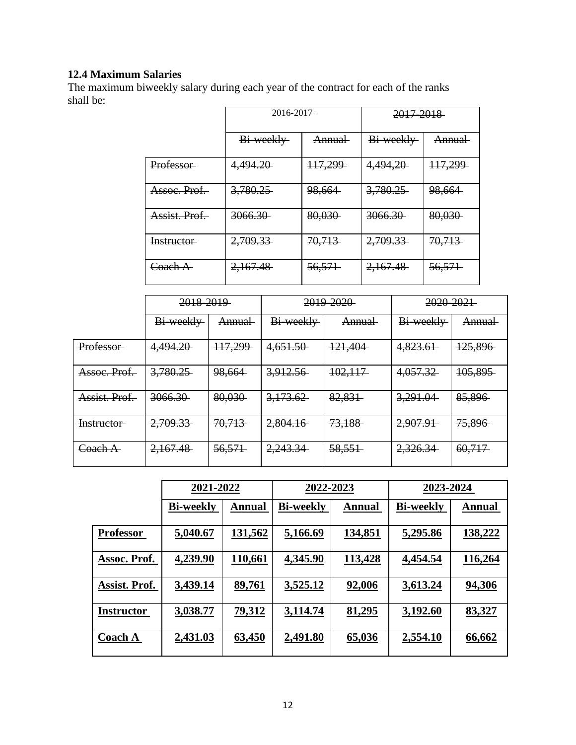# **12.4 Maximum Salaries**

The maximum biweekly salary during each year of the contract for each of the ranks shall be:

|               | 2016 2017 |               | 2017-2018          |               |
|---------------|-----------|---------------|--------------------|---------------|
|               | Bi-weekly | <b>Annual</b> | Bi-weekly          | <b>Annual</b> |
| Professor-    | 4,494.20  | 117,299       | 4,494,20           | 117,299       |
| Assoc. Prof.  | 3,780.25  | 98,664        | 3,780.25           | 98,664        |
| Assist, Prof. | 3066.30   | 80,030        | <del>3066.30</del> | 80,030        |
| Instructor    | 2,709.33  | 70,713        | 2,709.33           | 70,713        |
| Coach A-      | 2,167.48  | 56,571        | 2,167.48           | 56,571        |

|                  | 2018-2019 |         | 2019-2020 |         | 2020-2021 |                   |
|------------------|-----------|---------|-----------|---------|-----------|-------------------|
|                  | Bi-weekly | Annual  | Bi-weekly | Annual  | Bi-weekly | Annual            |
| <b>Professor</b> | 4,494.20  | 117,299 | 4,651.50  | 121,404 | 4,823.61  | 125,896           |
| Assoc. Prof.     | 3,780.25  | 98,664  | 3,912.56  | 102,117 | 4,057.32  | 105,895           |
| Assist. Prof.    | 3066.30   | 80,030  | 3,173.62  | 82,831  | 3,291.04  | 85,896            |
| Instructor       | 2,709.33  | 70,713  | 2,804.16  | 73,188  | 2,907.91  | <del>75,896</del> |
| Coach A          | 2,167.48  | 56,571  | 2,243.34  | 58,551  | 2,326.34  | 60,717            |

|                   | 2021-2022        |               | 2022-2023        |               | 2023-2024        |               |
|-------------------|------------------|---------------|------------------|---------------|------------------|---------------|
|                   | <b>Bi-weekly</b> | <b>Annual</b> | <b>Bi-weekly</b> | Annual        | <b>Bi-weekly</b> | <b>Annual</b> |
| <b>Professor</b>  | 5,040.67         | 131,562       | 5,166.69         | 134,851       | 5,295.86         | 138,222       |
| Assoc. Prof.      | 4,239.90         | 110,661       | 4,345.90         | 113,428       | 4,454.54         | 116,264       |
| Assist. Prof.     | 3,439.14         | 89,761        | 3,525.12         | 92,006        | 3,613.24         | <u>94,306</u> |
| <b>Instructor</b> | 3,038.77         | <u>79,312</u> | 3,114.74         | 81,295        | 3,192.60         | 83,327        |
| <b>Coach A</b>    | 2,431.03         | <u>63,450</u> | <u>2,491.80</u>  | <u>65,036</u> | 2,554.10         | 66,662        |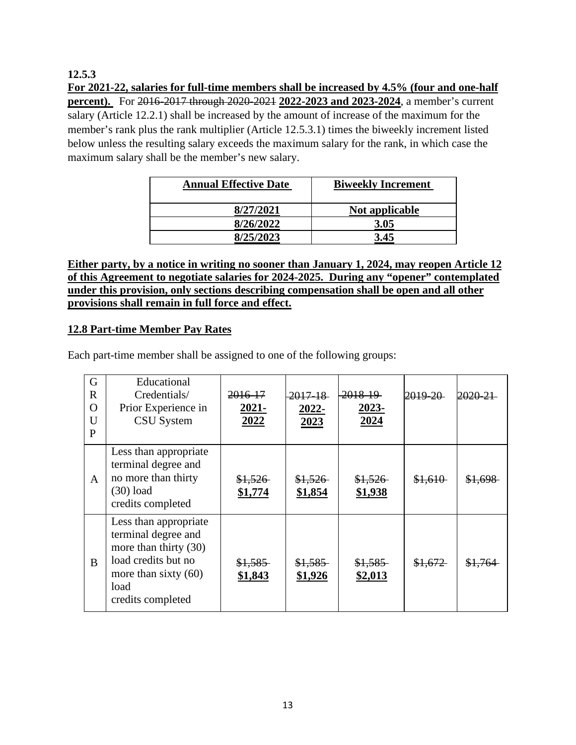### **12.5.3**

**For 2021-22, salaries for full-time members shall be increased by 4.5% (four and one-half percent**). For 2016-2017 through 2020-2021 2022-2023 and 2023-2024, a member's current salary (Article 12.2.1) shall be increased by the amount of increase of the maximum for the member's rank plus the rank multiplier (Article 12.5.3.1) times the biweekly increment listed below unless the resulting salary exceeds the maximum salary for the rank, in which case the maximum salary shall be the member's new salary.

| <b>Annual Effective Date</b> | <b>Biweekly Increment</b> |  |  |
|------------------------------|---------------------------|--|--|
| 8/27/2021                    | Not applicable            |  |  |
| 8/26/2022                    | 3.05                      |  |  |
| 8/25/2023                    | 3.45                      |  |  |

**Either party, by a notice in writing no sooner than January 1, 2024, may reopen Article 12 of this Agreement to negotiate salaries for 2024-2025. During any "opener" contemplated under this provision, only sections describing compensation shall be open and all other provisions shall remain in full force and effect.**

### **12.8 Part-time Member Pay Rates**

Each part-time member shall be assigned to one of the following groups:

| G<br>$\mathbf R$<br>$\overline{O}$<br>U<br>P | Educational<br>Credentials/<br>Prior Experience in<br><b>CSU</b> System                                                                             | <del>2016-17</del><br>2021-<br>2022 | <del>2017-18</del><br>2022-<br>2023 | <del>2018-19</del><br>2023-<br>2024 | <del>2019-20-</del> | 2020-2             |
|----------------------------------------------|-----------------------------------------------------------------------------------------------------------------------------------------------------|-------------------------------------|-------------------------------------|-------------------------------------|---------------------|--------------------|
| A                                            | Less than appropriate<br>terminal degree and<br>no more than thirty<br>$(30)$ load<br>credits completed                                             | \$1,526<br>\$1,774                  | \$1,526<br>\$1,854                  | \$1,526<br>\$1,938                  | \$1,610             | <del>\$1,698</del> |
| B                                            | Less than appropriate<br>terminal degree and<br>more than thirty (30)<br>load credits but no<br>more than sixty $(60)$<br>load<br>credits completed | \$1,585<br>\$1,843                  | \$1,585<br>\$1,926                  | \$1,585<br>\$2,013                  | \$1,672             | <del>\$1.764</del> |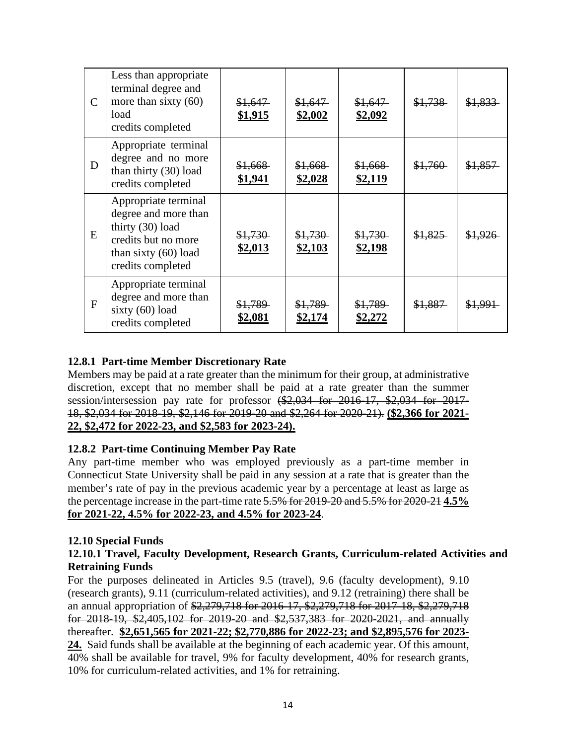| $\mathcal{C}$ | Less than appropriate<br>terminal degree and<br>more than sixty $(60)$<br>load<br>credits completed                                    | \$1,647<br>\$1,915 | \$1,647<br>\$2,002 | \$1,647<br>\$2,092        | \$1,738 | \$1,833            |
|---------------|----------------------------------------------------------------------------------------------------------------------------------------|--------------------|--------------------|---------------------------|---------|--------------------|
| D             | Appropriate terminal<br>degree and no more<br>than thirty (30) load<br>credits completed                                               | \$1,668<br>\$1,941 | \$1,668<br>\$2,028 | \$1,668<br>\$2,119        | \$1,760 | \$1,857            |
| E             | Appropriate terminal<br>degree and more than<br>thirty (30) load<br>credits but no more<br>than sixty $(60)$ load<br>credits completed | \$1,730<br>\$2,013 | \$1,730<br>\$2,103 | \$1,730<br>\$2,198        | \$1,825 | \$1,926            |
| F             | Appropriate terminal<br>degree and more than<br>sixty (60) load<br>credits completed                                                   | \$1,789<br>\$2,081 | \$1,789<br>\$2,174 | \$1,789<br><u>\$2,272</u> | \$1,887 | <del>\$1,991</del> |

# **12.8.1 Part-time Member Discretionary Rate**

Members may be paid at a rate greater than the minimum for their group, at administrative discretion, except that no member shall be paid at a rate greater than the summer session/intersession pay rate for professor (\$2,034 for 2016-17, \$2,034 for 2017-18, \$2,034 for 2018-19, \$2,146 for 2019-20 and \$2,264 for 2020-21). **(\$2,366 for 2021- 22, \$2,472 for 2022-23, and \$2,583 for 2023-24).**

### **12.8.2 Part-time Continuing Member Pay Rate**

Any part-time member who was employed previously as a part-time member in Connecticut State University shall be paid in any session at a rate that is greater than the member's rate of pay in the previous academic year by a percentage at least as large as the percentage increase in the part-time rate 5.5% for 2019-20 and 5.5% for 2020-21 **4.5% for 2021-22, 4.5% for 2022-23, and 4.5% for 2023-24**.

### **12.10 Special Funds**

### **12.10.1 Travel, Faculty Development, Research Grants, Curriculum-related Activities and Retraining Funds**

For the purposes delineated in Articles 9.5 (travel), 9.6 (faculty development), 9.10 (research grants), 9.11 (curriculum-related activities), and 9.12 (retraining) there shall be an annual appropriation of \$2,279,718 for 2016-17, \$2,279,718 for 2017-18, \$2,279,718 for 2018-19, \$2,405,102 for 2019-20 and \$2,537,383 for 2020-2021, and annually thereafter. **\$2,651,565 for 2021-22; \$2,770,886 for 2022-23; and \$2,895,576 for 2023- 24.** Said funds shall be available at the beginning of each academic year. Of this amount, 40% shall be available for travel, 9% for faculty development, 40% for research grants, 10% for curriculum-related activities, and 1% for retraining.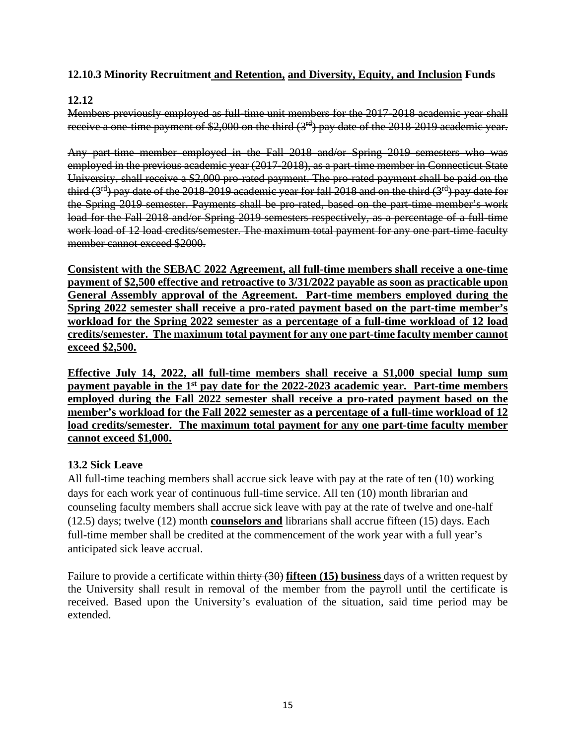# **12.10.3 Minority Recruitment and Retention, and Diversity, Equity, and Inclusion Funds**

# **12.12**

Members previously employed as full-time unit members for the 2017-2018 academic year shall receive a one-time payment of \$2,000 on the third (3<sup>rd</sup>) pay date of the 2018-2019 academic year.

Any part-time member employed in the Fall 2018 and/or Spring 2019 semesters who was employed in the previous academic year (2017-2018), as a part-time member in Connecticut State University, shall receive a \$2,000 pro-rated payment. The pro-rated payment shall be paid on the third  $(3<sup>rd</sup>)$  pay date of the 2018-2019 academic year for fall 2018 and on the third  $(3<sup>rd</sup>)$  pay date for the Spring 2019 semester. Payments shall be pro-rated, based on the part-time member's work load for the Fall 2018 and/or Spring 2019 semesters respectively, as a percentage of a full-time work load of 12 load credits/semester. The maximum total payment for any one part-time faculty member cannot exceed \$2000.

**Consistent with the SEBAC 2022 Agreement, all full-time members shall receive a one-time payment of \$2,500 effective and retroactive to 3/31/2022 payable as soon as practicable upon General Assembly approval of the Agreement. Part-time members employed during the Spring 2022 semester shall receive a pro-rated payment based on the part-time member's workload for the Spring 2022 semester as a percentage of a full-time workload of 12 load credits/semester. The maximum total payment for any one part-time faculty member cannot exceed \$2,500.** 

**Effective July 14, 2022, all full-time members shall receive a \$1,000 special lump sum payment payable in the 1st pay date for the 2022-2023 academic year. Part-time members employed during the Fall 2022 semester shall receive a pro-rated payment based on the member's workload for the Fall 2022 semester as a percentage of a full-time workload of 12 load credits/semester. The maximum total payment for any one part-time faculty member cannot exceed \$1,000.** 

### **13.2 Sick Leave**

All full-time teaching members shall accrue sick leave with pay at the rate of ten (10) working days for each work year of continuous full-time service. All ten (10) month librarian and counseling faculty members shall accrue sick leave with pay at the rate of twelve and one-half (12.5) days; twelve (12) month **counselors and** librarians shall accrue fifteen (15) days. Each full-time member shall be credited at the commencement of the work year with a full year's anticipated sick leave accrual.

Failure to provide a certificate within thirty (30) **fifteen (15) business** days of a written request by the University shall result in removal of the member from the payroll until the certificate is received. Based upon the University's evaluation of the situation, said time period may be extended.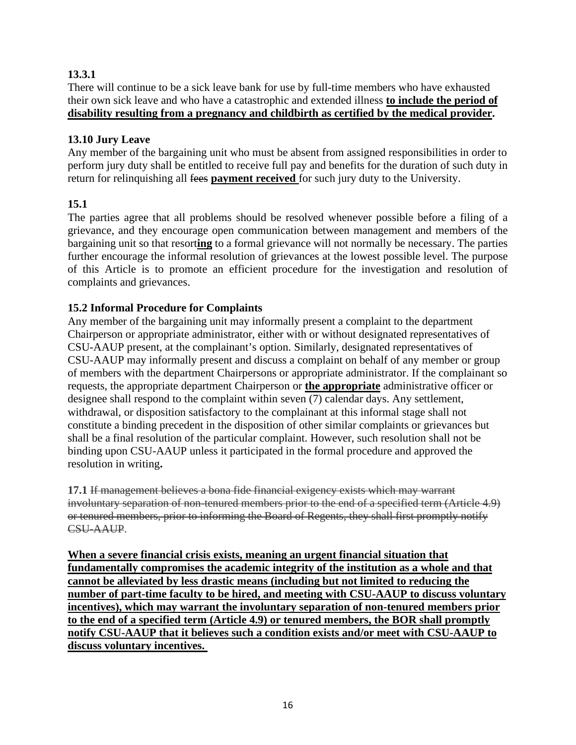# **13.3.1**

There will continue to be a sick leave bank for use by full-time members who have exhausted their own sick leave and who have a catastrophic and extended illness **to include the period of disability resulting from a pregnancy and childbirth as certified by the medical provider.** 

### **13.10 Jury Leave**

Any member of the bargaining unit who must be absent from assigned responsibilities in order to perform jury duty shall be entitled to receive full pay and benefits for the duration of such duty in return for relinquishing all fees **payment received** for such jury duty to the University.

# **15.1**

The parties agree that all problems should be resolved whenever possible before a filing of a grievance, and they encourage open communication between management and members of the bargaining unit so that resort**ing** to a formal grievance will not normally be necessary. The parties further encourage the informal resolution of grievances at the lowest possible level. The purpose of this Article is to promote an efficient procedure for the investigation and resolution of complaints and grievances.

# **15.2 Informal Procedure for Complaints**

Any member of the bargaining unit may informally present a complaint to the department Chairperson or appropriate administrator, either with or without designated representatives of CSU-AAUP present, at the complainant's option. Similarly, designated representatives of CSU-AAUP may informally present and discuss a complaint on behalf of any member or group of members with the department Chairpersons or appropriate administrator. If the complainant so requests, the appropriate department Chairperson or **the appropriate** administrative officer or designee shall respond to the complaint within seven (7) calendar days. Any settlement, withdrawal, or disposition satisfactory to the complainant at this informal stage shall not constitute a binding precedent in the disposition of other similar complaints or grievances but shall be a final resolution of the particular complaint. However, such resolution shall not be binding upon CSU-AAUP unless it participated in the formal procedure and approved the resolution in writing**.**

**17.1** If management believes a bona fide financial exigency exists which may warrant involuntary separation of non-tenured members prior to the end of a specified term (Article 4.9) or tenured members, prior to informing the Board of Regents, they shall first promptly notify CSU-AAUP.

**When a severe financial crisis exists, meaning an urgent financial situation that fundamentally compromises the academic integrity of the institution as a whole and that cannot be alleviated by less drastic means (including but not limited to reducing the number of part-time faculty to be hired, and meeting with CSU-AAUP to discuss voluntary incentives), which may warrant the involuntary separation of non-tenured members prior to the end of a specified term (Article 4.9) or tenured members, the BOR shall promptly notify CSU-AAUP that it believes such a condition exists and/or meet with CSU-AAUP to discuss voluntary incentives.**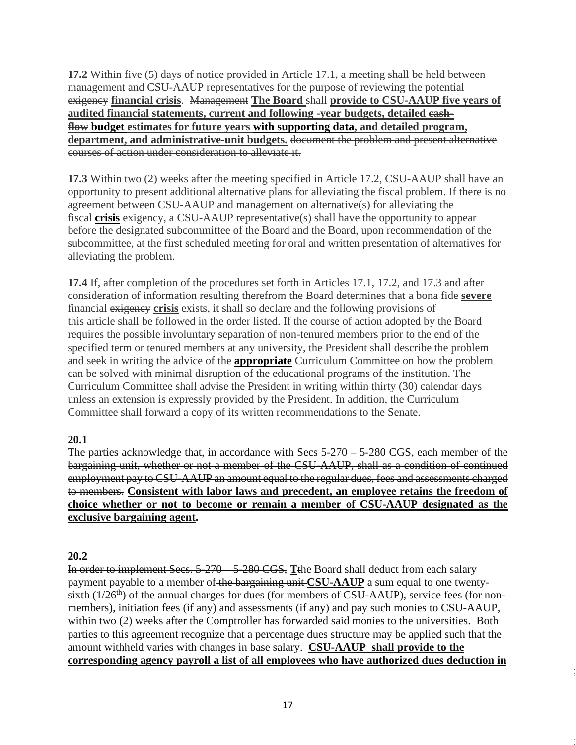**17.2** Within five (5) days of notice provided in Article 17.1, a meeting shall be held between management and CSU-AAUP representatives for the purpose of reviewing the potential exigency **financial crisis**. Management **The Board** shall **provide to CSU-AAUP five years of audited financial statements, current and following -year budgets, detailed cashflow budget estimates for future years with supporting data, and detailed program, department, and administrative-unit budgets.** document the problem and present alternative courses of action under consideration to alleviate it.

**17.3** Within two (2) weeks after the meeting specified in Article 17.2, CSU-AAUP shall have an opportunity to present additional alternative plans for alleviating the fiscal problem. If there is no agreement between CSU-AAUP and management on alternative(s) for alleviating the fiscal **crisis** exigency, a CSU-AAUP representative(s) shall have the opportunity to appear before the designated subcommittee of the Board and the Board, upon recommendation of the subcommittee, at the first scheduled meeting for oral and written presentation of alternatives for alleviating the problem.

**17.4** If, after completion of the procedures set forth in Articles 17.1, 17.2, and 17.3 and after consideration of information resulting therefrom the Board determines that a bona fide **severe** financial exigency **crisis** exists, it shall so declare and the following provisions of this article shall be followed in the order listed. If the course of action adopted by the Board requires the possible involuntary separation of non-tenured members prior to the end of the specified term or tenured members at any university, the President shall describe the problem and seek in writing the advice of the **appropriate** Curriculum Committee on how the problem can be solved with minimal disruption of the educational programs of the institution. The Curriculum Committee shall advise the President in writing within thirty (30) calendar days unless an extension is expressly provided by the President. In addition, the Curriculum Committee shall forward a copy of its written recommendations to the Senate.

# **20.1**

The parties acknowledge that, in accordance with Secs 5-270 – 5-280 CGS, each member of the bargaining unit, whether or not a member of the CSU-AAUP, shall as a condition of continued employment pay to CSU-AAUP an amount equal to the regular dues, fees and assessments charged to members. **Consistent with labor laws and precedent, an employee retains the freedom of choice whether or not to become or remain a member of CSU-AAUP designated as the exclusive bargaining agent.** 

# **20.2**

In order to implement Secs. 5-270 – 5-280 CGS, **T**the Board shall deduct from each salary payment payable to a member of the bargaining unit **CSU-AAUP** a sum equal to one twentysixth  $(1/26<sup>th</sup>)$  of the annual charges for dues (for members of CSU-AAUP), service fees (for nonmembers), initiation fees (if any) and assessments (if any) and pay such monies to CSU-AAUP, within two (2) weeks after the Comptroller has forwarded said monies to the universities. Both parties to this agreement recognize that a percentage dues structure may be applied such that the amount withheld varies with changes in base salary. **CSU-AAUP shall provide to the corresponding agency payroll a list of all employees who have authorized dues deduction in**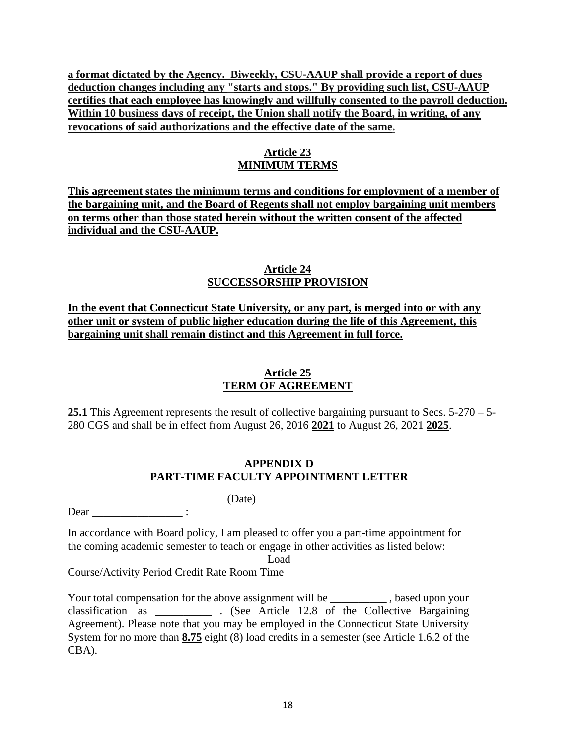**a format dictated by the Agency. Biweekly, CSU-AAUP shall provide a report of dues deduction changes including any "starts and stops." By providing such list, CSU-AAUP certifies that each employee has knowingly and willfully consented to the payroll deduction. Within 10 business days of receipt, the Union shall notify the Board, in writing, of any revocations of said authorizations and the effective date of the same.** 

# **Article 23 MINIMUM TERMS**

**This agreement states the minimum terms and conditions for employment of a member of the bargaining unit, and the Board of Regents shall not employ bargaining unit members on terms other than those stated herein without the written consent of the affected individual and the CSU-AAUP.** 

### **Article 24 SUCCESSORSHIP PROVISION**

**In the event that Connecticut State University, or any part, is merged into or with any other unit or system of public higher education during the life of this Agreement, this bargaining unit shall remain distinct and this Agreement in full force.** 

# **Article 25 TERM OF AGREEMENT**

**25.1** This Agreement represents the result of collective bargaining pursuant to Secs. 5-270 – 5- 280 CGS and shall be in effect from August 26, 2016 **2021** to August 26, 2021 **2025**.

# **APPENDIX D PART-TIME FACULTY APPOINTMENT LETTER**

(Date)

Dear  $\qquad \qquad :$ 

In accordance with Board policy, I am pleased to offer you a part-time appointment for the coming academic semester to teach or engage in other activities as listed below:

Load

Course/Activity Period Credit Rate Room Time

Your total compensation for the above assignment will be \_\_\_\_\_\_\_\_\_\_, based upon your classification as \_\_\_\_\_\_\_\_\_\_ . (See Article 12.8 of the Collective Bargaining Agreement). Please note that you may be employed in the Connecticut State University System for no more than 8.75 eight (8) load credits in a semester (see Article 1.6.2 of the CBA).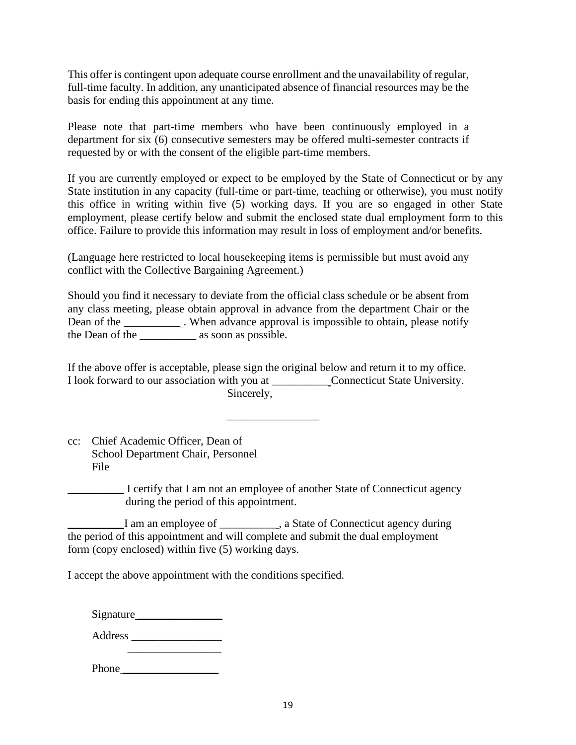This offer is contingent upon adequate course enrollment and the unavailability of regular, full-time faculty. In addition, any unanticipated absence of financial resources may be the basis for ending this appointment at any time.

Please note that part-time members who have been continuously employed in a department for six (6) consecutive semesters may be offered multi-semester contracts if requested by or with the consent of the eligible part-time members.

If you are currently employed or expect to be employed by the State of Connecticut or by any State institution in any capacity (full-time or part-time, teaching or otherwise), you must notify this office in writing within five (5) working days. If you are so engaged in other State employment, please certify below and submit the enclosed state dual employment form to this office. Failure to provide this information may result in loss of employment and/or benefits.

(Language here restricted to local housekeeping items is permissible but must avoid any conflict with the Collective Bargaining Agreement.)

Should you find it necessary to deviate from the official class schedule or be absent from any class meeting, please obtain approval in advance from the department Chair or the Dean of the \_\_\_\_\_\_\_\_\_\_\_. When advance approval is impossible to obtain, please notify the Dean of the \_\_\_\_\_\_\_\_\_\_ as soon as possible.

If the above offer is acceptable, please sign the original below and return it to my office. I look forward to our association with you at \_\_\_\_\_\_\_\_\_\_ Connecticut State University. Sincerely,

cc: Chief Academic Officer, Dean of School Department Chair, Personnel File

 $\overline{\phantom{a}}$  , and the contract of the contract of the contract of the contract of the contract of the contract of the contract of the contract of the contract of the contract of the contract of the contract of the contrac

\_\_\_\_\_\_\_\_\_\_ I certify that I am not an employee of another State of Connecticut agency during the period of this appointment.

I am an employee of \_\_\_\_\_\_\_\_\_\_\_\_, a State of Connecticut agency during the period of this appointment and will complete and submit the dual employment form (copy enclosed) within five (5) working days.

I accept the above appointment with the conditions specified.

| Signature |
|-----------|
|           |

Address \_\_\_\_\_\_\_\_\_\_\_\_\_\_\_\_

| Phone |  |  |  |
|-------|--|--|--|
|       |  |  |  |
|       |  |  |  |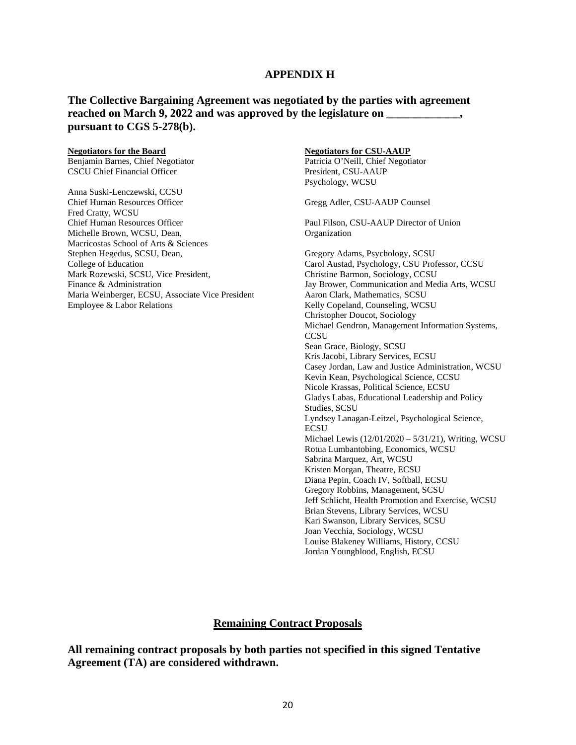#### **APPENDIX H**

#### **The Collective Bargaining Agreement was negotiated by the parties with agreement**  reached on March 9, 2022 and was approved by the legislature on **pursuant to CGS 5-278(b).**

#### **Negotiators for the Board**

Benjamin Barnes, Chief Negotiator CSCU Chief Financial Officer

Anna Suski-Lenczewski, CCSU Chief Human Resources Officer Fred Cratty, WCSU Chief Human Resources Officer Michelle Brown, WCSU, Dean, Macricostas School of Arts & Sciences Stephen Hegedus, SCSU, Dean, College of Education Mark Rozewski, SCSU, Vice President, Finance & Administration Maria Weinberger, ECSU, Associate Vice President Employee & Labor Relations

#### **Negotiators for CSU-AAUP**

Patricia O'Neill, Chief Negotiator President, CSU-AAUP Psychology, WCSU

Gregg Adler, CSU-AAUP Counsel

Paul Filson, CSU-AAUP Director of Union Organization

Gregory Adams, Psychology, SCSU Carol Austad, Psychology, CSU Professor, CCSU Christine Barmon, Sociology, CCSU Jay Brower, Communication and Media Arts, WCSU Aaron Clark, Mathematics, SCSU Kelly Copeland, Counseling, WCSU Christopher Doucot, Sociology Michael Gendron, Management Information Systems, **CCSU** Sean Grace, Biology, SCSU Kris Jacobi, Library Services, ECSU Casey Jordan, Law and Justice Administration, WCSU Kevin Kean, Psychological Science, CCSU Nicole Krassas, Political Science, ECSU Gladys Labas, Educational Leadership and Policy Studies, SCSU Lyndsey Lanagan-Leitzel, Psychological Science, **ECSU** Michael Lewis (12/01/2020 – 5/31/21), Writing, WCSU Rotua Lumbantobing, Economics, WCSU Sabrina Marquez, Art, WCSU Kristen Morgan, Theatre, ECSU Diana Pepin, Coach IV, Softball, ECSU Gregory Robbins, Management, SCSU Jeff Schlicht, Health Promotion and Exercise, WCSU Brian Stevens, Library Services, WCSU Kari Swanson, Library Services, SCSU Joan Vecchia, Sociology, WCSU Louise Blakeney Williams, History, CCSU Jordan Youngblood, English, ECSU

#### **Remaining Contract Proposals**

**All remaining contract proposals by both parties not specified in this signed Tentative Agreement (TA) are considered withdrawn.**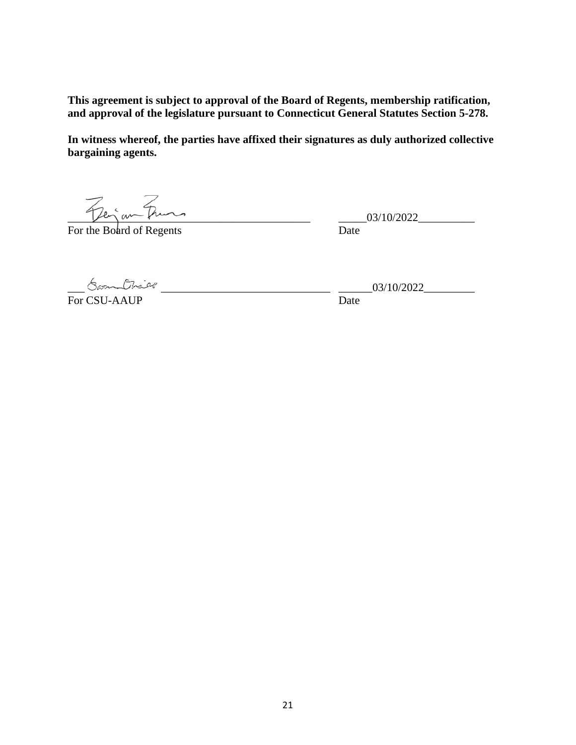**This agreement is subject to approval of the Board of Regents, membership ratification, and approval of the legislature pursuant to Connecticut General Statutes Section 5-278.** 

**In witness whereof, the parties have affixed their signatures as duly authorized collective bargaining agents.** 

 $\frac{1}{\sqrt{2}e^{\frac{2}{3}}ar\sqrt{2}}$ 

For the Board of Regents Date

For CSU-AAUP Date

 $\frac{1}{2}$   $\frac{1}{2}$   $\frac{1}{2}$   $\frac{1}{2}$   $\frac{1}{2}$   $\frac{1}{2}$   $\frac{1}{2}$   $\frac{1}{2}$   $\frac{1}{2}$   $\frac{1}{2}$   $\frac{1}{2}$   $\frac{1}{2}$   $\frac{1}{2}$   $\frac{1}{2}$   $\frac{1}{2}$   $\frac{1}{2}$   $\frac{1}{2}$   $\frac{1}{2}$   $\frac{1}{2}$   $\frac{1}{2}$   $\frac{1}{2}$   $\frac{1}{2}$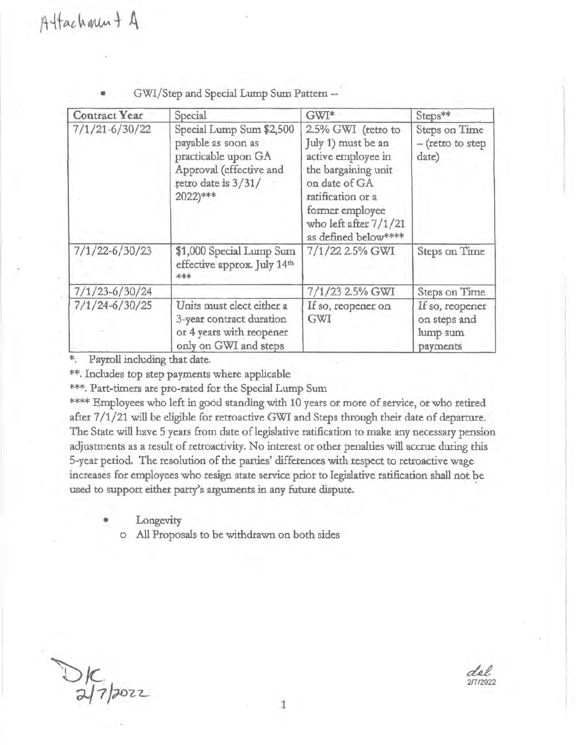| <b>Contract Year</b> | Special                                                                                                                               |                                                                                                                                                                                                 | Steps**                                                 |  |
|----------------------|---------------------------------------------------------------------------------------------------------------------------------------|-------------------------------------------------------------------------------------------------------------------------------------------------------------------------------------------------|---------------------------------------------------------|--|
| $7/1/21 - 6/30/22$   | Special Lump Sum \$2,500<br>payable as soon as<br>practicable upon GA<br>Approval (effective and<br>retro date is $3/31/$<br>2022)*** | 2.5% GWI (retro to<br>July 1) must be an<br>active employee in<br>the bargaining unit<br>on date of GA<br>ratification or a<br>former employee<br>who left after 7/1/21<br>as defined below**** | Steps on Time<br>- (retro to step<br>date)              |  |
| $7/1/22 - 6/30/23$   | \$1,000 Special Lump Sum<br>effective approx. July 14th<br>***                                                                        |                                                                                                                                                                                                 | Steps on Time                                           |  |
| $7/1/23 - 6/30/24$   |                                                                                                                                       | 7/1/23 2.5% GWI                                                                                                                                                                                 | Steps on Time                                           |  |
| $7/1/24 - 6/30/25$   | Units must elect either a<br>3-year contract duration<br>or 4 years with reopener<br>only on GWI and steps                            | If so, reopener on<br>GWI                                                                                                                                                                       | If so, reopener<br>on steps and<br>lump sum<br>payments |  |

GWI/Step and Special Lump Sum Pattern --

\*. Payroll including that date.

\*\*. Includes top step payments where applicable

\*\*\*. Part-timers are pro-rated for the Special Lump Sum

\*\*\*\* Employees who left in good standing with 10 years or more of service, or who retired after 7/1/21 will be eligible for retroactive GWI and Steps through their date of departure. The State will have 5 years from date of legislative ratification to make any necessary pension adjustments as a result of retroactivity. No interest or other penalties will accrue during this 5-year period. The resolution of the parties' differences with respect to retroactive wage increases for employees who resign state service prior to legislative ratification shall not be used to support either party's arguments in any future dispute.

Longevity

o All Proposals to be withdrawn on both sides

 $D_K$ <br>althour